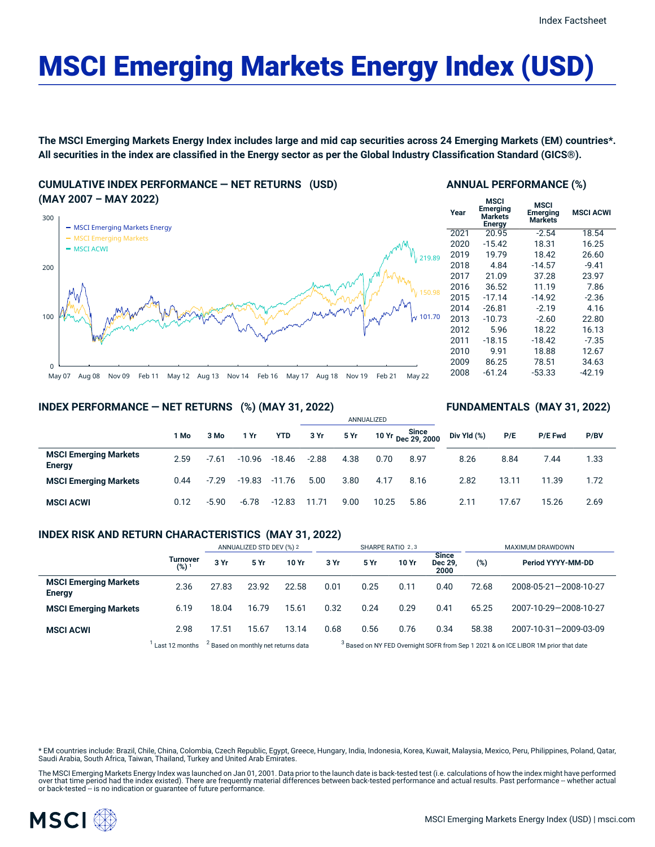# MSCI Emerging Markets Energy Index (USD)

The MSCI Emerging Markets Energy Index includes large and mid cap securities across 24 Emerging Markets (EM) countries\*. All securities in the index are classified in the Energy sector as per the Global Industry Classification Standard (GICS®).

**CUMULATIVE INDEX PERFORMANCE — NET RETURNS (USD) (MAY 2007 – MAY 2022)**



#### **ANNUAL PERFORMANCE (%)**

| Year | <b>MSCI</b><br><b>Emerging</b><br><b>Markets</b><br><b>Energy</b> | <b>MSCI</b><br><b>Emerging</b><br><b>Markets</b> | <b>MSCI ACWI</b> |
|------|-------------------------------------------------------------------|--------------------------------------------------|------------------|
| 2021 | 20.95                                                             | $-2.54$                                          | 18.54            |
| 2020 | $-15.42$                                                          | 18.31                                            | 16.25            |
| 2019 | 19.79                                                             | 18.42                                            | 26.60            |
| 2018 | 4.84                                                              | $-14.57$                                         | $-9.41$          |
| 2017 | 21.09                                                             | 37.28                                            | 23.97            |
| 2016 | 36.52                                                             | 11.19                                            | 7.86             |
| 2015 | $-17.14$                                                          | $-14.92$                                         | $-2.36$          |
| 2014 | $-26.81$                                                          | $-2.19$                                          | 4.16             |
| 2013 | $-10.73$                                                          | $-2.60$                                          | 22.80            |
| 2012 | 5.96                                                              | 18.22                                            | 16.13            |
| 2011 | $-18.15$                                                          | $-18.42$                                         | $-7.35$          |
| 2010 | 9.91                                                              | 18.88                                            | 12.67            |
| 2009 | 86.25                                                             | 78.51                                            | 34.63            |
| 2008 | -61.24                                                            | $-53.33$                                         | $-42.19$         |
|      |                                                                   |                                                  |                  |

**FUNDAMENTALS (MAY 31, 2022)**

# **INDEX PERFORMANCE — NET RETURNS (%) (MAY 31, 2022)**

|                                               |      |         |          |            | ANNUALIZED |      |       |                             |             |       |         |      |
|-----------------------------------------------|------|---------|----------|------------|------------|------|-------|-----------------------------|-------------|-------|---------|------|
|                                               | 1 Mo | 3 Mo    | 1 Yr     | <b>YTD</b> | 3 Yr       | 5 Yr |       | 10 Yr Since<br>Dec 29, 2000 | Div Yld (%) | P/E   | P/E Fwd | P/BV |
| <b>MSCI Emerging Markets</b><br><b>Energy</b> | 2.59 | $-7.61$ | $-10.96$ | -18.46     | $-2.88$    | 4.38 | 0.70  | 8.97                        | 8.26        | 8.84  | 7.44    | 1.33 |
| <b>MSCI Emerging Markets</b>                  | 0.44 | $-7.29$ | $-19.83$ | $-11.76$   | 5.00       | 3.80 | 4.17  | 8.16                        | 2.82        | 13.11 | 11.39   | 1.72 |
| <b>MSCI ACWI</b>                              | 0.12 | $-5.90$ | $-6.78$  | $-12.83$   | 11.71      | 9.00 | 10.25 | 5.86                        | 2.11        | 17.67 | 15.26   | 2.69 |

# **INDEX RISK AND RETURN CHARACTERISTICS (MAY 31, 2022)**

|                                               |                              | ANNUALIZED STD DEV (%) 2                       |       |       | SHARPE RATIO 2,3 |      |       |                          | MAXIMUM DRAWDOWN                                                                              |                       |  |
|-----------------------------------------------|------------------------------|------------------------------------------------|-------|-------|------------------|------|-------|--------------------------|-----------------------------------------------------------------------------------------------|-----------------------|--|
|                                               | Turnover<br>(%) <sup>1</sup> | 3 Yr                                           | 5 Yr  | 10 Yr | 3 Yr             | 5 Yr | 10 Yr | Since<br>Dec 29,<br>2000 | (%)                                                                                           | Period YYYY-MM-DD     |  |
| <b>MSCI Emerging Markets</b><br><b>Energy</b> | 2.36                         | 27.83                                          | 23.92 | 22.58 | 0.01             | 0.25 | 0.11  | 0.40                     | 72.68                                                                                         | 2008-05-21-2008-10-27 |  |
| <b>MSCI Emerging Markets</b>                  | 6.19                         | 18.04                                          | 16.79 | 15.61 | 0.32             | 0.24 | 0.29  | 0.41                     | 65.25                                                                                         | 2007-10-29-2008-10-27 |  |
| <b>MSCI ACWI</b>                              | 2.98                         | 17.51                                          | 15.67 | 13.14 | 0.68             | 0.56 | 0.76  | 0.34                     | 58.38                                                                                         | 2007-10-31-2009-03-09 |  |
|                                               | Last 12 months               | <sup>2</sup> Based on monthly net returns data |       |       |                  |      |       |                          | <sup>3</sup> Based on NY FED Overnight SOFR from Sep 1 2021 & on ICE LIBOR 1M prior that date |                       |  |

\* EM countries include: Brazil, Chile, China, Colombia, Czech Republic, Egypt, Greece, Hungary, India, Indonesia, Korea, Kuwait, Malaysia, Mexico, Peru, Philippines, Poland, Qatar, Saudi Arabia, South Africa, Taiwan, Thailand, Turkey and United Arab Emirates.

The MSCI Emerging Markets Energy Index was launched on Jan 01, 2001. Data prior to the launch date is back-tested test (i.e. calculations of how the index might have performed over that time period had the index existed). There are frequently material differences between back-tested performance and actual results. Past performance – whether actual<br>or back-tested – is no indication or guarantee o

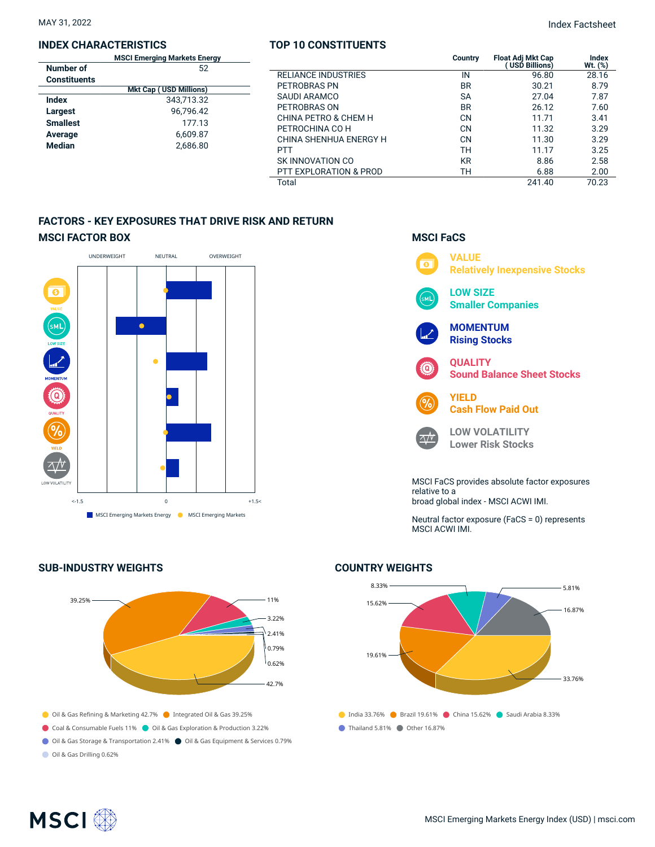## **INDEX CHARACTERISTICS**

|                 | <b>MSCI Emerging Markets Energy</b> |
|-----------------|-------------------------------------|
| Number of       | 52                                  |
| Constituents    |                                     |
|                 | <b>Mkt Cap (USD Millions)</b>       |
| Index           | 343.713.32                          |
| Largest         | 96.796.42                           |
| <b>Smallest</b> | 177.13                              |
| Average         | 6,609.87                            |
| <b>Median</b>   | 2.686.80                            |
|                 |                                     |

# **TOP 10 CONSTITUENTS**

MAY 31, 2022 Index Factsheet

| iing Markets Energy<br>52 |                            | Country   | <b>Float Adi Mkt Cap</b><br><b>USD Billions)</b> | Index<br>Wt. (%) |
|---------------------------|----------------------------|-----------|--------------------------------------------------|------------------|
|                           | <b>RELIANCE INDUSTRIES</b> | IN        | 96.80                                            | 28.16            |
| <b>USD Millions)</b>      | PETROBRAS PN               | <b>BR</b> | 30.21                                            | 8.79             |
| 343,713.32                | SAUDI ARAMCO               | <b>SA</b> | 27.04                                            | 7.87             |
| 96.796.42                 | PETROBRAS ON               | <b>BR</b> | 26.12                                            | 7.60             |
| 177.13                    | CHINA PETRO & CHEM H       | CN        | 11.71                                            | 3.41             |
|                           | PETROCHINA CO H            | CN        | 11.32                                            | 3.29             |
| 6,609.87                  | CHINA SHENHUA ENERGY H     | <b>CN</b> | 11.30                                            | 3.29             |
| 2,686.80                  | <b>PTT</b>                 | тн        | 11.17                                            | 3.25             |
|                           | SK INNOVATION CO           | <b>KR</b> | 8.86                                             | 2.58             |
|                           | PTT EXPLORATION & PROD     | TН        | 6.88                                             | 2.00             |
|                           | Total                      |           | 241.40                                           | 70.23            |

**MSCI FaCS**

# **FACTORS - KEY EXPOSURES THAT DRIVE RISK AND RETURN MSCI FACTOR BOX**



# **SUB-INDUSTRY WEIGHTS**





# MSCI ACWI IMI.



# **COUNTRY WEIGHTS**